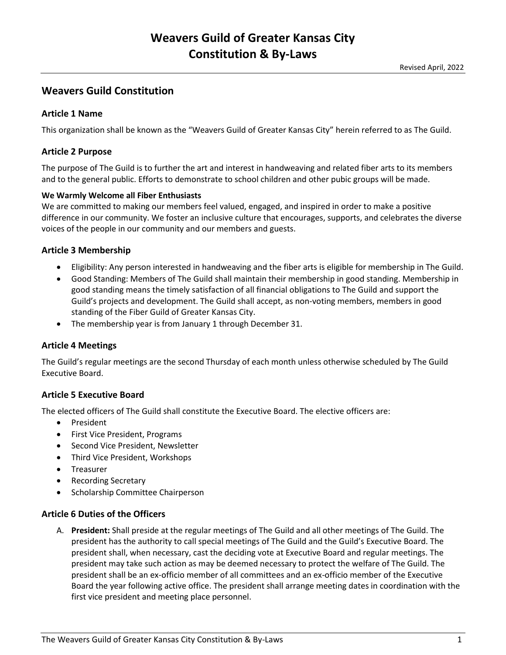# **Weavers Guild Constitution**

## **Article 1 Name**

This organization shall be known as the "Weavers Guild of Greater Kansas City" herein referred to as The Guild.

### **Article 2 Purpose**

The purpose of The Guild is to further the art and interest in handweaving and related fiber arts to its members and to the general public. Efforts to demonstrate to school children and other pubic groups will be made.

#### **We Warmly Welcome all Fiber Enthusiasts**

We are committed to making our members feel valued, engaged, and inspired in order to make a positive difference in our community. We foster an inclusive culture that encourages, supports, and celebrates the diverse voices of the people in our community and our members and guests.

### **Article 3 Membership**

- Eligibility: Any person interested in handweaving and the fiber arts is eligible for membership in The Guild.
- Good Standing: Members of The Guild shall maintain their membership in good standing. Membership in good standing means the timely satisfaction of all financial obligations to The Guild and support the Guild's projects and development. The Guild shall accept, as non-voting members, members in good standing of the Fiber Guild of Greater Kansas City.
- The membership year is from January 1 through December 31.

### **Article 4 Meetings**

The Guild's regular meetings are the second Thursday of each month unless otherwise scheduled by The Guild Executive Board.

#### **Article 5 Executive Board**

The elected officers of The Guild shall constitute the Executive Board. The elective officers are:

- President
- First Vice President, Programs
- Second Vice President, Newsletter
- Third Vice President, Workshops
- **•** Treasurer
- Recording Secretary
- Scholarship Committee Chairperson

## **Article 6 Duties of the Officers**

A. **President:** Shall preside at the regular meetings of The Guild and all other meetings of The Guild. The president has the authority to call special meetings of The Guild and the Guild's Executive Board. The president shall, when necessary, cast the deciding vote at Executive Board and regular meetings. The president may take such action as may be deemed necessary to protect the welfare of The Guild. The president shall be an ex-officio member of all committees and an ex-officio member of the Executive Board the year following active office. The president shall arrange meeting dates in coordination with the first vice president and meeting place personnel.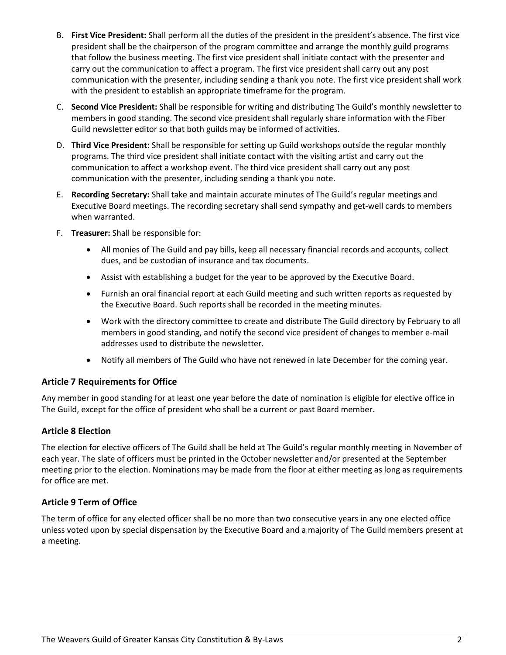- B. **First Vice President:** Shall perform all the duties of the president in the president's absence. The first vice president shall be the chairperson of the program committee and arrange the monthly guild programs that follow the business meeting. The first vice president shall initiate contact with the presenter and carry out the communication to affect a program. The first vice president shall carry out any post communication with the presenter, including sending a thank you note. The first vice president shall work with the president to establish an appropriate timeframe for the program.
- C. **Second Vice President:** Shall be responsible for writing and distributing The Guild's monthly newsletter to members in good standing. The second vice president shall regularly share information with the Fiber Guild newsletter editor so that both guilds may be informed of activities.
- D. **Third Vice President:** Shall be responsible for setting up Guild workshops outside the regular monthly programs. The third vice president shall initiate contact with the visiting artist and carry out the communication to affect a workshop event. The third vice president shall carry out any post communication with the presenter, including sending a thank you note.
- E. **Recording Secretary:** Shall take and maintain accurate minutes of The Guild's regular meetings and Executive Board meetings. The recording secretary shall send sympathy and get-well cards to members when warranted.
- F. **Treasurer:** Shall be responsible for:
	- All monies of The Guild and pay bills, keep all necessary financial records and accounts, collect dues, and be custodian of insurance and tax documents.
	- Assist with establishing a budget for the year to be approved by the Executive Board.
	- Furnish an oral financial report at each Guild meeting and such written reports as requested by the Executive Board. Such reports shall be recorded in the meeting minutes.
	- Work with the directory committee to create and distribute The Guild directory by February to all members in good standing, and notify the second vice president of changes to member e-mail addresses used to distribute the newsletter.
	- Notify all members of The Guild who have not renewed in late December for the coming year.

## **Article 7 Requirements for Office**

Any member in good standing for at least one year before the date of nomination is eligible for elective office in The Guild, except for the office of president who shall be a current or past Board member.

## **Article 8 Election**

The election for elective officers of The Guild shall be held at The Guild's regular monthly meeting in November of each year. The slate of officers must be printed in the October newsletter and/or presented at the September meeting prior to the election. Nominations may be made from the floor at either meeting as long as requirements for office are met.

## **Article 9 Term of Office**

The term of office for any elected officer shall be no more than two consecutive years in any one elected office unless voted upon by special dispensation by the Executive Board and a majority of The Guild members present at a meeting.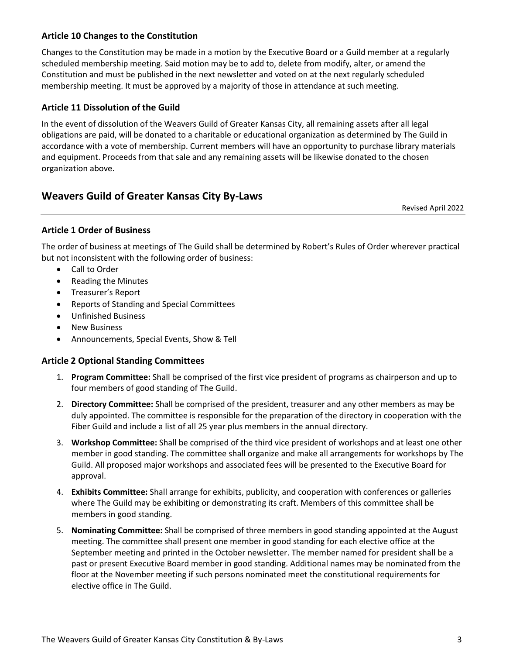## **Article 10 Changes to the Constitution**

Changes to the Constitution may be made in a motion by the Executive Board or a Guild member at a regularly scheduled membership meeting. Said motion may be to add to, delete from modify, alter, or amend the Constitution and must be published in the next newsletter and voted on at the next regularly scheduled membership meeting. It must be approved by a majority of those in attendance at such meeting.

## **Article 11 Dissolution of the Guild**

In the event of dissolution of the Weavers Guild of Greater Kansas City, all remaining assets after all legal obligations are paid, will be donated to a charitable or educational organization as determined by The Guild in accordance with a vote of membership. Current members will have an opportunity to purchase library materials and equipment. Proceeds from that sale and any remaining assets will be likewise donated to the chosen organization above.

# **Weavers Guild of Greater Kansas City By-Laws**

Revised April 2022

## **Article 1 Order of Business**

The order of business at meetings of The Guild shall be determined by Robert's Rules of Order wherever practical but not inconsistent with the following order of business:

- Call to Order
- Reading the Minutes
- Treasurer's Report
- Reports of Standing and Special Committees
- Unfinished Business
- New Business
- Announcements, Special Events, Show & Tell

### **Article 2 Optional Standing Committees**

- 1. **Program Committee:** Shall be comprised of the first vice president of programs as chairperson and up to four members of good standing of The Guild.
- 2. **Directory Committee:** Shall be comprised of the president, treasurer and any other members as may be duly appointed. The committee is responsible for the preparation of the directory in cooperation with the Fiber Guild and include a list of all 25 year plus members in the annual directory.
- 3. **Workshop Committee:** Shall be comprised of the third vice president of workshops and at least one other member in good standing. The committee shall organize and make all arrangements for workshops by The Guild. All proposed major workshops and associated fees will be presented to the Executive Board for approval.
- 4. **Exhibits Committee:** Shall arrange for exhibits, publicity, and cooperation with conferences or galleries where The Guild may be exhibiting or demonstrating its craft. Members of this committee shall be members in good standing.
- 5. **Nominating Committee:** Shall be comprised of three members in good standing appointed at the August meeting. The committee shall present one member in good standing for each elective office at the September meeting and printed in the October newsletter. The member named for president shall be a past or present Executive Board member in good standing. Additional names may be nominated from the floor at the November meeting if such persons nominated meet the constitutional requirements for elective office in The Guild.